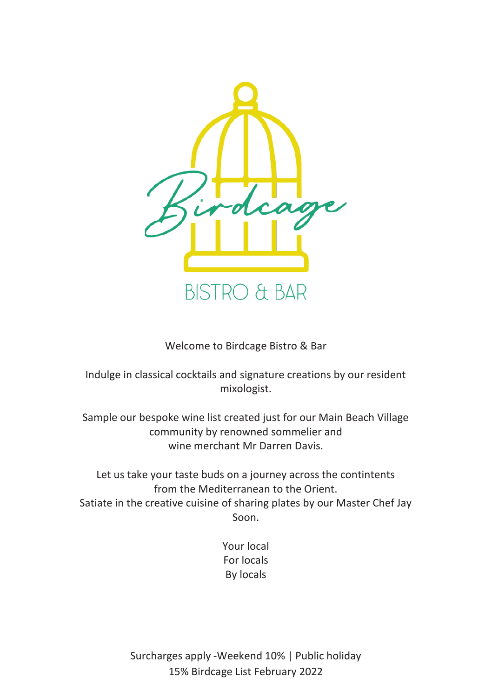

Welcome to Birdcage Bistro & Bar

Indulge in classical cocktails and signature creations by our resident mixologist.

Sample our bespoke wine list created just for our Main Beach Village community by renowned sommelier and wine merchant Mr Darren Davis.

Let us take your taste buds on a journey across the contintents from the Mediterranean to the Orient. Satiate in the creative cuisine of sharing plates by our Master Chef Jay Soon.

> Your local For locals By locals

Surcharges apply -Weekend 10% | Public holiday 15% Birdcage List February 2022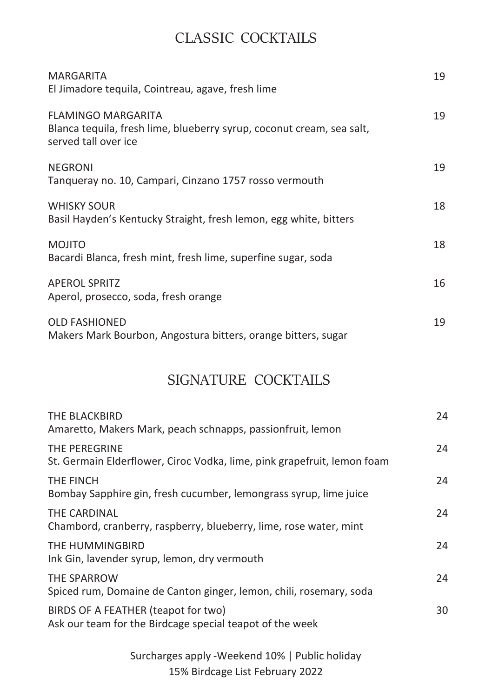## CLASSIC COCKTAILS

| MARGARITA<br>El Jimadore tequila, Cointreau, agave, fresh lime                                                             | 19 |
|----------------------------------------------------------------------------------------------------------------------------|----|
| <b>FLAMINGO MARGARITA</b><br>Blanca tequila, fresh lime, blueberry syrup, coconut cream, sea salt,<br>served tall over ice | 19 |
| <b>NEGRONI</b><br>Tangueray no. 10, Campari, Cinzano 1757 rosso vermouth                                                   | 19 |
| <b>WHISKY SOUR</b><br>Basil Hayden's Kentucky Straight, fresh lemon, egg white, bitters                                    | 18 |
| <b>MOJITO</b><br>Bacardi Blanca, fresh mint, fresh lime, superfine sugar, soda                                             | 18 |
| <b>APEROL SPRITZ</b><br>Aperol, prosecco, soda, fresh orange                                                               | 16 |
| <b>OLD FASHIONED</b><br>Makers Mark Bourbon, Angostura bitters, orange bitters, sugar                                      | 19 |

## SIGNATURE COCKTAILS

| THE BLACKBIRD<br>Amaretto, Makers Mark, peach schnapps, passionfruit, lemon                     | 24 |
|-------------------------------------------------------------------------------------------------|----|
| THE PEREGRINE<br>St. Germain Elderflower, Ciroc Vodka, lime, pink grapefruit, lemon foam        | 24 |
| THE FINCH<br>Bombay Sapphire gin, fresh cucumber, lemongrass syrup, lime juice                  | 24 |
| THE CARDINAL<br>Chambord, cranberry, raspberry, blueberry, lime, rose water, mint               | 24 |
| THE HUMMINGBIRD<br>Ink Gin, lavender syrup, lemon, dry vermouth                                 | 24 |
| THE SPARROW<br>Spiced rum, Domaine de Canton ginger, lemon, chili, rosemary, soda               | 24 |
| BIRDS OF A FEATHER (teapot for two)<br>Ask our team for the Birdcage special teapot of the week | 30 |

Surcharges apply -Weekend 10% | Public holiday 15% Birdcage List February 2022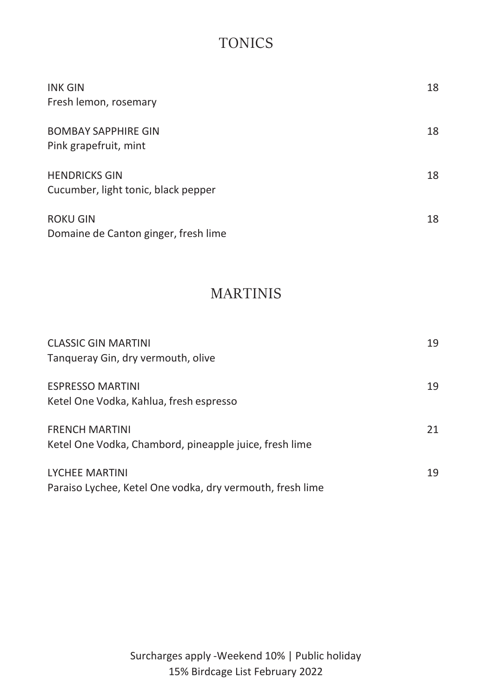# TONICS

| <b>INK GIN</b><br>Fresh lemon, rosemary                     | 18 |
|-------------------------------------------------------------|----|
| <b>BOMBAY SAPPHIRE GIN</b><br>Pink grapefruit, mint         | 18 |
| <b>HENDRICKS GIN</b><br>Cucumber, light tonic, black pepper | 18 |
| <b>ROKU GIN</b><br>Domaine de Canton ginger, fresh lime     | 18 |

## MARTINIS

| <b>CLASSIC GIN MARTINI</b><br>Tanqueray Gin, dry vermouth, olive                   | 19 |
|------------------------------------------------------------------------------------|----|
| <b>ESPRESSO MARTINI</b><br>Ketel One Vodka, Kahlua, fresh espresso                 | 19 |
| <b>FRENCH MARTINI</b><br>Ketel One Vodka, Chambord, pineapple juice, fresh lime    | 21 |
| <b>LYCHEE MARTINI</b><br>Paraiso Lychee, Ketel One vodka, dry vermouth, fresh lime | 19 |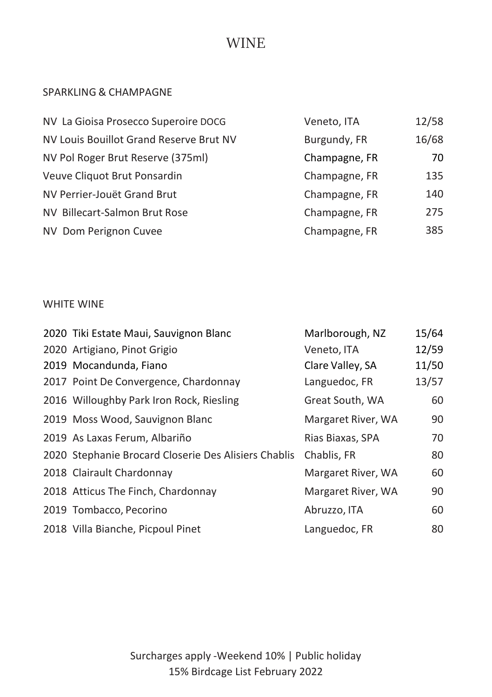## WINE

### SPARKLING & CHAMPAGNE

| NV La Gioisa Prosecco Superoire DOCG    | Veneto, ITA   | 12/58 |
|-----------------------------------------|---------------|-------|
| NV Louis Bouillot Grand Reserve Brut NV | Burgundy, FR  | 16/68 |
| NV Pol Roger Brut Reserve (375ml)       | Champagne, FR | 70    |
| Veuve Cliquot Brut Ponsardin            | Champagne, FR | 135   |
| NV Perrier-Jouët Grand Brut             | Champagne, FR | 140   |
| NV Billecart-Salmon Brut Rose           | Champagne, FR | 275   |
| NV Dom Perignon Cuvee                   | Champagne, FR | 385   |

### WHITE WINE

| 2020 Tiki Estate Maui, Sauvignon Blanc               | Marlborough, NZ    | 15/64 |
|------------------------------------------------------|--------------------|-------|
| 2020 Artigiano, Pinot Grigio                         | Veneto, ITA        | 12/59 |
| 2019 Mocandunda, Fiano                               | Clare Valley, SA   | 11/50 |
| 2017 Point De Convergence, Chardonnay                | Languedoc, FR      | 13/57 |
| 2016 Willoughby Park Iron Rock, Riesling             | Great South, WA    | 60    |
| 2019 Moss Wood, Sauvignon Blanc                      | Margaret River, WA | 90    |
| 2019 As Laxas Ferum, Albariño                        | Rias Biaxas, SPA   | 70    |
| 2020 Stephanie Brocard Closerie Des Alisiers Chablis | Chablis, FR        | 80    |
| 2018 Clairault Chardonnay                            | Margaret River, WA | 60    |
| 2018 Atticus The Finch, Chardonnay                   | Margaret River, WA | 90    |
| 2019 Tombacco, Pecorino                              | Abruzzo, ITA       | 60    |
| 2018 Villa Bianche, Picpoul Pinet                    | Languedoc, FR      | 80    |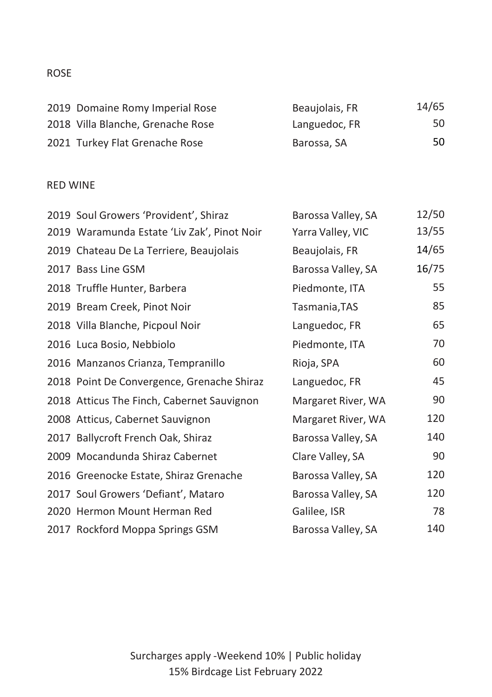### ROSE

| 2019 Domaine Romy Imperial Rose   | Beaujolais, FR | 14/65 |
|-----------------------------------|----------------|-------|
| 2018 Villa Blanche, Grenache Rose | Languedoc, FR  | 50    |
| 2021 Turkey Flat Grenache Rose    | Barossa, SA    | 50    |

#### RED WINE

| 2019 Soul Growers 'Provident', Shiraz       | Barossa Valley, SA | 12/50 |
|---------------------------------------------|--------------------|-------|
| 2019 Waramunda Estate 'Liv Zak', Pinot Noir | Yarra Valley, VIC  | 13/55 |
| 2019 Chateau De La Terriere, Beaujolais     | Beaujolais, FR     | 14/65 |
| 2017 Bass Line GSM                          | Barossa Valley, SA | 16/75 |
| 2018 Truffle Hunter, Barbera                | Piedmonte, ITA     | 55    |
| 2019 Bream Creek, Pinot Noir                | Tasmania, TAS      | 85    |
| 2018 Villa Blanche, Picpoul Noir            | Languedoc, FR      | 65    |
| 2016 Luca Bosio, Nebbiolo                   | Piedmonte, ITA     | 70    |
| 2016 Manzanos Crianza, Tempranillo          | Rioja, SPA         | 60    |
| 2018 Point De Convergence, Grenache Shiraz  | Languedoc, FR      | 45    |
| 2018 Atticus The Finch, Cabernet Sauvignon  | Margaret River, WA | 90    |
| 2008 Atticus, Cabernet Sauvignon            | Margaret River, WA | 120   |
| 2017 Ballycroft French Oak, Shiraz          | Barossa Valley, SA | 140   |
| 2009 Mocandunda Shiraz Cabernet             | Clare Valley, SA   | 90    |
| 2016 Greenocke Estate, Shiraz Grenache      | Barossa Valley, SA | 120   |
| 2017 Soul Growers 'Defiant', Mataro         | Barossa Valley, SA | 120   |
| 2020 Hermon Mount Herman Red                | Galilee, ISR       | 78    |
| 2017 Rockford Moppa Springs GSM             | Barossa Valley, SA | 140   |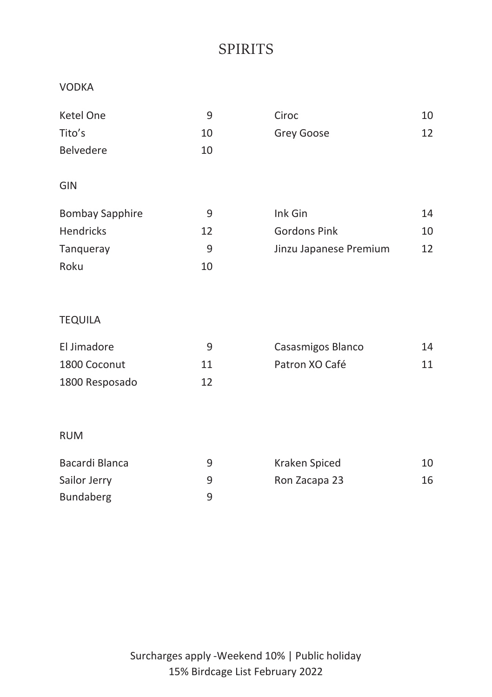# SPIRITS

#### VODKA

| 9  | Ciroc                  | 10 |
|----|------------------------|----|
| 10 | Grey Goose             | 12 |
| 10 |                        |    |
|    |                        |    |
|    |                        |    |
| 9  | Ink Gin                | 14 |
| 12 | <b>Gordons Pink</b>    | 10 |
| 9  | Jinzu Japanese Premium | 12 |
| 10 |                        |    |
|    |                        |    |

### TEQUILA

| El Jimadore    | q  | Casasmigos Blanco | 14 |
|----------------|----|-------------------|----|
| 1800 Coconut   | 11 | Patron XO Café    | 11 |
| 1800 Resposado | 17 |                   |    |

### RUM

| Bacardi Blanca | q | Kraken Spiced | 10 |
|----------------|---|---------------|----|
| Sailor Jerry   |   | Ron Zacapa 23 | 16 |
| Bundaberg      |   |               |    |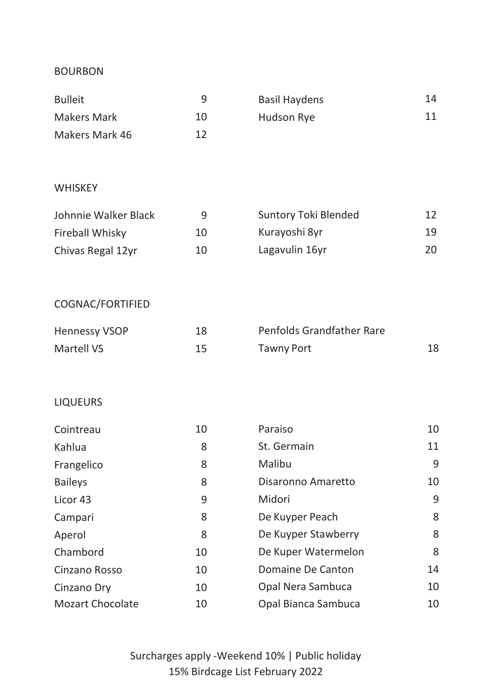#### BOURBON

| Bulleit        |    | Basil Haydens | 14 |
|----------------|----|---------------|----|
| Makers Mark    | 10 | Hudson Rye    | 11 |
| Makers Mark 46 | 12 |               |    |

#### **WHISKEY**

| Johnnie Walker Black | ч  | Suntory Toki Blended | 12 |
|----------------------|----|----------------------|----|
| Fireball Whisky      | 10 | Kurayoshi 8yr        | 19 |
| Chivas Regal 12yr    | 10 | Lagavulin 16yr       | 20 |

### COGNAC/FORTIFIED

| <b>Hennessy VSOP</b> | 18 | Penfolds Grandfather Rare |  |
|----------------------|----|---------------------------|--|
| Martell VS           | 15 | Tawny Port                |  |

### LIQUEURS

| Cointreau               | 10 | Paraiso             | 10 |
|-------------------------|----|---------------------|----|
| Kahlua                  | 8  | St. Germain         | 11 |
| Frangelico              | 8  | Malibu              | 9  |
| <b>Baileys</b>          | 8  | Disaronno Amaretto  | 10 |
| Licor 43                | 9  | Midori              | 9  |
| Campari                 | 8  | De Kuyper Peach     | 8  |
| Aperol                  | 8  | De Kuyper Stawberry | 8  |
| Chambord                | 10 | De Kuper Watermelon | 8  |
| Cinzano Rosso           | 10 | Domaine De Canton   | 14 |
| Cinzano Dry             | 10 | Opal Nera Sambuca   | 10 |
| <b>Mozart Chocolate</b> | 10 | Opal Bianca Sambuca | 10 |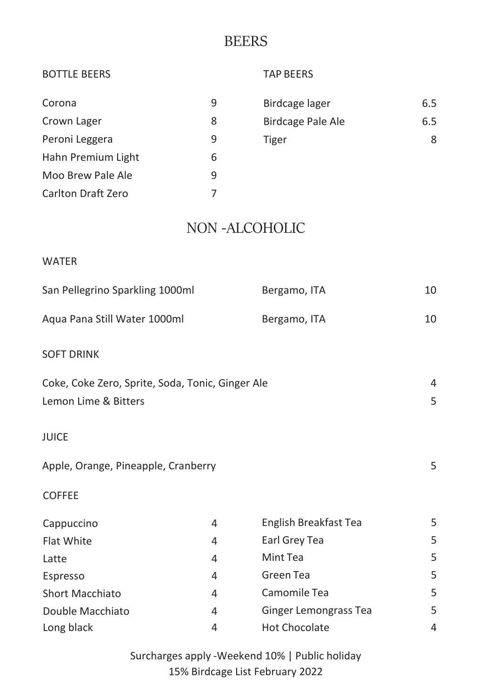### **BEERS**

| <b>BOTTLE BEERS</b>                              |   | <b>TAP BEERS</b>      |     |
|--------------------------------------------------|---|-----------------------|-----|
| Corona                                           | 9 | Birdcage lager        | 6.5 |
| Crown Lager                                      | 8 | Birdcage Pale Ale     | 6.5 |
| Peroni Leggera                                   | 9 | <b>Tiger</b>          | 8   |
| Hahn Premium Light                               | 6 |                       |     |
| Moo Brew Pale Ale                                | 9 |                       |     |
| <b>Carlton Draft Zero</b>                        | 7 |                       |     |
|                                                  |   | NON-ALCOHOLIC         |     |
| <b>WATER</b>                                     |   |                       |     |
| San Pellegrino Sparkling 1000ml                  |   | Bergamo, ITA          | 10  |
| Aqua Pana Still Water 1000ml                     |   | Bergamo, ITA          | 10  |
| <b>SOFT DRINK</b>                                |   |                       |     |
| Coke, Coke Zero, Sprite, Soda, Tonic, Ginger Ale |   |                       | 4   |
| Lemon Lime & Bitters                             |   |                       | 5   |
| <b>JUICE</b>                                     |   |                       |     |
| Apple, Orange, Pineapple, Cranberry              |   |                       | 5   |
| <b>COFFEE</b>                                    |   |                       |     |
| Cappuccino                                       | 4 | English Breakfast Tea | 5   |
| Flat White                                       | 4 | Earl Grey Tea         | 5   |
| Latte                                            | 4 | Mint Tea              | 5   |

Surcharges apply -Weekend 10% | Public holiday 15% Birdcage List February 2022

Espresso and the 4 Green Tea 5 Green Team 2 Green Team 2 Green Team 2 Green Team 2 Green Team 2 Green Team 2 Green Team 2 Green Team 2 Green Team 2 Green Team 2 Green Team 2 Green Team 2 Green Team 2 Green Team 2 Green Tea Short Macchiato 4 Camomile Tea 5 Double Macchiato 4 Ginger Lemongrass Tea 5 Long black and the contract of the Hot Chocolate and the 4 Hot Chocolate